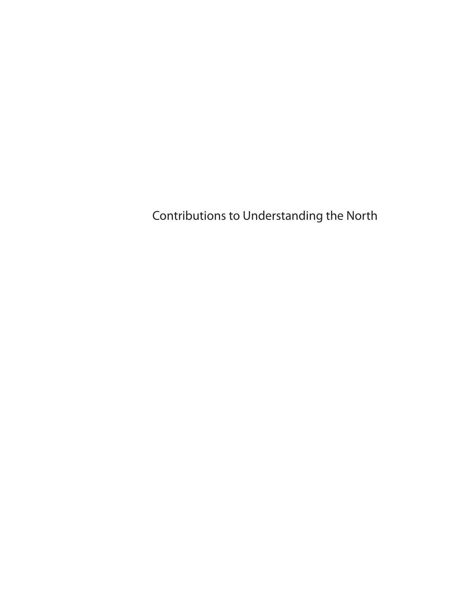Contributions to Understanding the North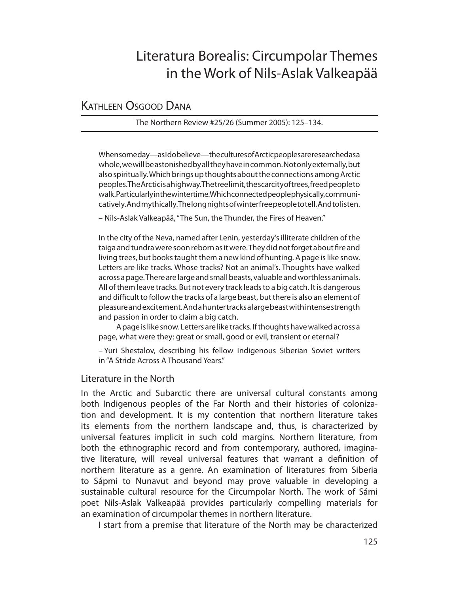## Literatura Borealis: Circumpolar Themes in the Work of Nils-Aslak Valkeapää

KATHLEEN OSGOOD DANA

The Northern Review #25/26 (Summer 2005): 125–134.

When some day—as I do believe—the cultures of Arctic peoples are researched as a whole, we will be astonished by all they have in common. Not only externally, but also spiritually. Which brings up thoughts about the connections among Arctic peoples. The Arctic is a highway. The tree limit, the scarcity of trees, freed people to walk. Particularly in the wintertime. Which connected people physically, communicatively. And mythically. The long nights of winter free people to tell. And to listen.

– Nils-Aslak Valkeapää, "The Sun, the Thunder, the Fires of Heaven."

In the city of the Neva, named after Lenin, yesterday's illiterate children of the taiga and tundra were soon reborn as it were. They did not forget about fire and living trees, but books taught them a new kind of hunting. A page is like snow. Letters are like tracks. Whose tracks? Not an animal's. Thoughts have walked across a page. There are large and small beasts, valuable and worthless animals. All of them leave tracks. But not every track leads to a big catch. It is dangerous and difficult to follow the tracks of a large beast, but there is also an element of pleasure and excitement. And a hunter tracks a large beast with intense strength and passion in order to claim a big catch.

A page is like snow. Letters are like tracks. If thoughts have walked across a page, what were they: great or small, good or evil, transient or eternal?

– Yuri Shestalov, describing his fellow Indigenous Siberian Soviet writers in "A Stride Across A Thousand Years."

## Literature in the North

In the Arctic and Subarctic there are universal cultural constants among both Indigenous peoples of the Far North and their histories of colonization and development. It is my contention that northern literature takes its elements from the northern landscape and, thus, is characterized by universal features implicit in such cold margins. Northern literature, from both the ethnographic record and from contemporary, authored, imaginative literature, will reveal universal features that warrant a definition of northern literature as a genre. An examination of literatures from Siberia to Sápmi to Nunavut and beyond may prove valuable in developing a sustainable cultural resource for the Circumpolar North. The work of Sámi poet Nils-Aslak Valkeapää provides particularly compelling materials for an examination of circumpolar themes in northern literature.

I start from a premise that literature of the North may be characterized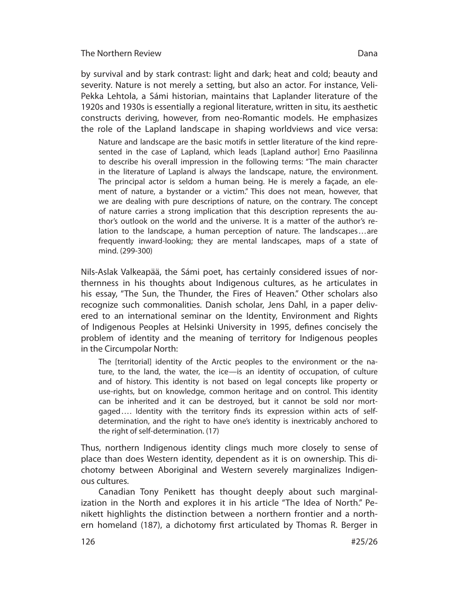by survival and by stark contrast: light and dark; heat and cold; beauty and severity. Nature is not merely a setting, but also an actor. For instance, Veli-Pekka Lehtola, a Sámi historian, maintains that Laplander literature of the 1920s and 1930s is essentially a regional literature, written in situ, its aesthetic constructs deriving, however, from neo-Romantic models. He emphasizes the role of the Lapland landscape in shaping worldviews and vice versa:

Nature and landscape are the basic motifs in settler literature of the kind represented in the case of Lapland, which leads [Lapland author] Erno Paasilinna to describe his overall impression in the following terms: "The main character in the literature of Lapland is always the landscape, nature, the environment. The principal actor is seldom a human being. He is merely a façade, an element of nature, a bystander or a victim." This does not mean, however, that we are dealing with pure descriptions of nature, on the contrary. The concept of nature carries a strong implication that this description represents the author's outlook on the world and the universe. It is a matter of the author's relation to the land scape, a human perception of nature. The land scapes...are frequently in ward-looking; they are mental landscapes, maps of a state of mind. (299-300)

Nils-Aslak Valkeapää, the Sámi poet, has certainly considered issues of northernness in his thoughts about Indigenous cultures, as he articulates in his essay, "The Sun, the Thunder, the Fires of Heaven." Other scholars also recognize such commonalities. Danish scholar, Jens Dahl, in a paper delivered to an international seminar on the Identity, Environment and Rights of Indigenous Peoples at Helsinki University in 1995, defines concisely the problem of identity and the meaning of territory for Indigenous peoples in the Circumpolar North:

The [territorial] identity of the Arctic peoples to the environment or the nature, to the land, the water, the ice—is an identity of occupation, of culture and of history. This identity is not based on legal concepts like property or use-rights, but on knowledge, common heritage and on control. This identity can be inherited and it can be destroyed, but it cannot be sold nor mortgaged.... Identity with the territory finds its expression within acts of selfdetermination, and the right to have one's identity is inextricably anchored to the right of self-determination. (17)

Thus, northern Indigenous identity clings much more closely to sense of place than does Western identity, dependent as it is on ownership. This dichotomy between Aboriginal and Western severely marginalizes Indigenous cultures.

Canadian Tony Penikett has thought deeply about such marginalization in the North and explores it in his article "The Idea of North." Penikett highlights the distinction between a northern frontier and a northern homeland (187), a dichotomy first articulated by Thomas R. Berger in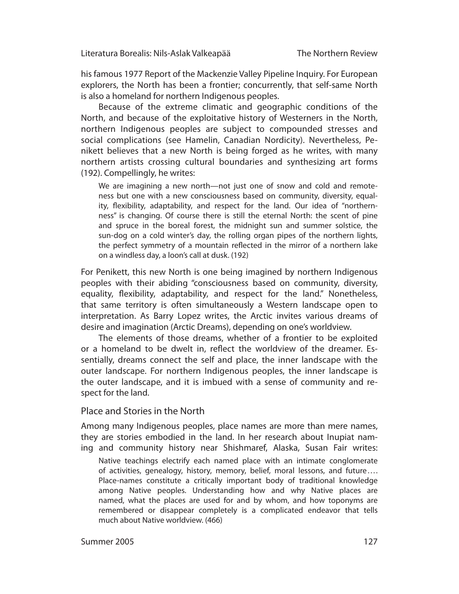his famous 1977 Report of the Mackenzie Valley Pipeline Inquiry. For European explorers, the North has been a frontier; concurrently, that self-same North is also a homeland for northern Indigenous peoples.

Because of the extreme climatic and geographic conditions of the North, and because of the exploitative history of Westerners in the North, northern Indigenous peoples are subject to compounded stresses and social complications (see Hamelin, Canadian Nordicity). Nevertheless, Penikett believes that a new North is being forged as he writes, with many northern artists crossing cultural boundaries and synthesizing art forms (192). Compellingly, he writes:

We are imagining a new north—not just one of snow and cold and remoteness but one with a new consciousness based on community, diversity, equality, flexibility, adaptability, and respect for the land. Our idea of "northernness" is changing. Of course there is still the eternal North: the scent of pine and spruce in the boreal forest, the midnight sun and summer solstice, the sun-dog on a cold winter's day, the rolling organ pipes of the northern lights, the perfect symmetry of a mountain reflected in the mirror of a northern lake on a windless day, a loon's call at dusk. (192)

For Penikett, this new North is one being imagined by northern Indigenous peoples with their abiding "consciousness based on community, diversity, equality, flexibility, adaptability, and respect for the land." Nonetheless, that same territory is often simultaneously a Western landscape open to interpre tation. As Barry Lopez writes, the Arctic invites various dreams of desire and imagination (Arctic Dreams), depending on one's worldview.

The elements of those dreams, whether of a frontier to be exploited or a homeland to be dwelt in, reflect the worldview of the dreamer. Essentially, dreams connect the self and place, the inner landscape with the outer landscape. For northern Indigenous peoples, the inner landscape is the outer landscape, and it is im bued with a sense of community and respect for the land.

### Place and Stories in the North

Among many Indigenous peoples, place names are more than mere names, they are stories embodied in the land. In her research about Inupiat naming and community history near Shishmaref, Alaska, Susan Fair writes:

Native teachings electrify each named place with an intimate conglomerate of activities, genealogy, history, memory, belief, moral lessons, and future.... Place-names constitute a critically important body of traditional knowledge among Native peoples. Understanding how and why Native places are named, what the places are used for and by whom, and how toponyms are remembered or disappear completely is a complicated endeavor that tells much about Native worldview. (466)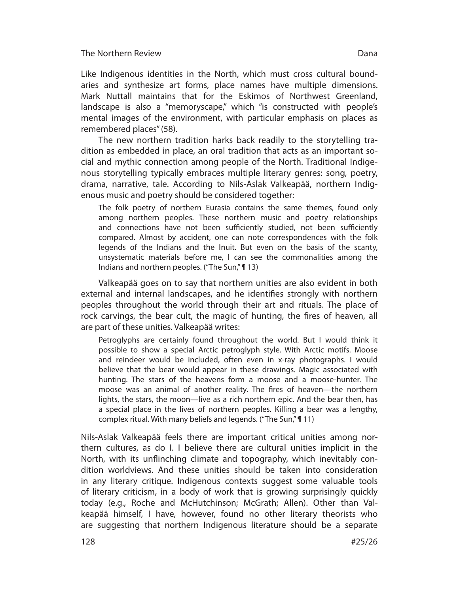Like Indigenous identities in the North, which must cross cultural boundaries and synthesize art forms, place names have multiple dimensions. Mark Nuttall maintains that for the Eskimos of Northwest Greenland, landscape is also a "memoryscape," which "is constructed with people's mental images of the environment, with particular emphasis on places as remembered places" (58).

The new northern tradition harks back readily to the storytelling tradition as embedded in place, an oral tradition that acts as an important social and mythic connection among people of the North. Traditional Indigenous story telling typically embraces multiple literary genres: song, poetry, drama, narrative, tale. According to Nils-Aslak Valkeapää, northern Indigenous music and poetry should be considered together:

The folk poetry of northern Eurasia contains the same themes, found only among northern peoples. These northern music and poetry relationships and connections have not been sufficiently studied, not been sufficiently compared. Almost by accident, one can note correspondences with the folk legends of the Indians and the Inuit. But even on the basis of the scanty, unsystematic materials before me, I can see the commonalities among the Indians and northern peoples. ("The Sun," ¶ 13)

Valkeapää goes on to say that northern unities are also evident in both external and internal landscapes, and he identifies strongly with northern peoples throughout the world through their art and rituals. The place of rock carvings, the bear cult, the magic of hunting, the fires of heaven, all are part of these unities. Valkeapää writes:

Petroglyphs are certainly found throughout the world. But I would think it possible to show a special Arctic petroglyph style. With Arctic motifs. Moose and reindeer would be included, often even in x-ray photographs. I would believe that the bear would appear in these drawings. Magic associated with hunting. The stars of the heavens form a moose and a moose-hunter. The moose was an animal of another reality. The fires of heaven—the northern lights, the stars, the moon—live as a rich northern epic. And the bear then, has a special place in the lives of northern peoples. Killing a bear was a lengthy, complex ritual. With many beliefs and legends. ("The Sun," ¶ 11)

Nils-Aslak Valkeapää feels there are important critical unities among northern cultures, as do I. I believe there are cultural unities implicit in the North, with its unflinching climate and topography, which inevitably condition worldviews. And these unities should be taken into consideration in any literary critique. Indigenous contexts suggest some valuable tools of literary criticism, in a body of work that is growing surprisingly quickly today (e.g., Roche and McHutchinson; McGrath; Allen). Other than Valkeapää himself, I have, however, found no other literary theorists who are suggesting that northern Indigenous literature should be a separate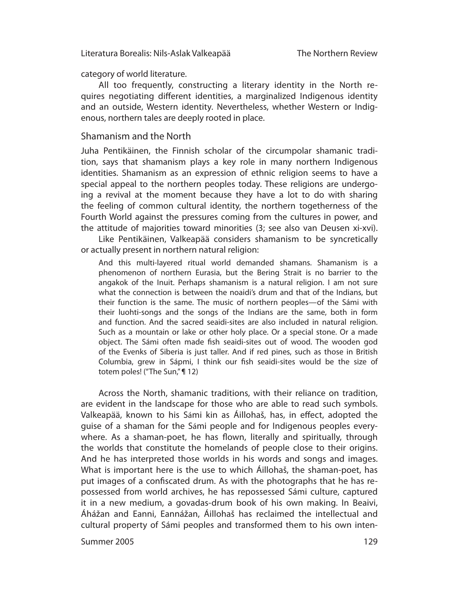category of world literature.

All too frequently, constructing a literary identity in the North requires negotiating different identities, a marginalized Indigenous identity and an outside, Western identity. Nevertheless, whether Western or Indigenous, northern tales are deeply rooted in place.

### Shamanism and the North

Juha Pentikäinen, the Finnish scholar of the circumpolar shamanic tradition, says that shamanism plays a key role in many northern Indigenous identities. Shamanism as an expression of ethnic religion seems to have a special appeal to the northern peoples today. These religions are undergoing a revival at the moment because they have a lot to do with sharing the feeling of common cultural identity, the northern togetherness of the Fourth World against the pressures coming from the cultures in power, and the attitude of majorities toward minorities (3; see also van Deusen xi-xvi).

Like Pentikäinen, Valkeapää considers shamanism to be syncretically or actually present in northern natural religion:

And this multi-layered ritual world demanded shamans. Shamanism is a phenomenon of northern Eurasia, but the Bering Strait is no barrier to the anga kok of the Inuit. Perhaps shamanism is a natural religion. I am not sure what the connection is between the noaidi's drum and that of the Indians, but their function is the same. The music of northern peoples—of the Sámi with their luohti-songs and the songs of the Indians are the same, both in form and function. And the sacred seaidi-sites are also included in natural religion. Such as a mountain or lake or other holy place. Or a special stone. Or a made object. The Sámi often made fish seaidi-sites out of wood. The wooden god of the Evenks of Siberia is just taller. And if red pines, such as those in British Columbia, grew in Sápmi, I think our fish seaidi-sites would be the size of totem poles! ("The Sun," ¶ 12)

Across the North, shamanic traditions, with their reliance on tradition, are evident in the landscape for those who are able to read such symbols. Valkeapää, known to his Sámi kin as Áillohaš, has, in effect, adopted the guise of a shaman for the Sámi people and for Indigenous peoples everywhere. As a shaman-poet, he has flown, literally and spiritually, through the worlds that constitute the homelands of people close to their origins. And he has interpreted those worlds in his words and songs and images. What is important here is the use to which Aillohaš, the shaman-poet, has put images of a confiscated drum. As with the photographs that he has repossessed from world archives, he has repossessed Sámi culture, captured it in a new medium, a govadas-drum book of his own making. In Beaivi, Áhážan and Eanni, Eannážan, Áillohaš has reclaimed the intellectual and cultural property of Sámi peoples and transformed them to his own inten-

Summer 2005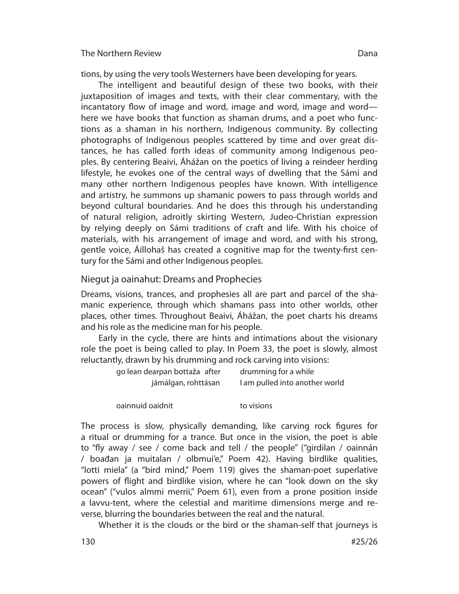tions, by using the very tools Westerners have been developing for years.

The intelligent and beautiful design of these two books, with their juxta position of images and texts, with their clear commentary, with the incantatory flow of image and word, image and word, image and word here we have books that function as shaman drums, and a poet who functions as a shaman in his northern, Indigenous community. By collecting photographs of Indigenous peoples scattered by time and over great distances, he has called forth ideas of community among Indigenous peoples. By centering Beaivi, Áhážan on the poetics of living a reindeer herding lifestyle, he evokes one of the central ways of dwelling that the Sámi and many other northern Indigenous peoples have known. With intelligence and artistry, he summons up shamanic powers to pass through worlds and beyond cultural boundaries. And he does this through his understanding of natural religion, adroitly skirting Western, Judeo-Christian expression by relying deeply on Sámi traditions of craft and life. With his choice of materials, with his arrangement of image and word, and with his strong, gentle voice, Áillohaš has created a cognitive map for the twenty-first century for the Sámi and other Indigenous peoples.

## Niegut ja oainahut: Dreams and Prophecies

Dreams, visions, trances, and prophesies all are part and parcel of the shamanic experience, through which shamans pass into other worlds, other places, other times. Throughout Beaivi, Áhážan, the poet charts his dreams and his role as the medicine man for his people.

Early in the cycle, there are hints and intimations about the visionary role the poet is being called to play. In Poem 33, the poet is slowly, almost reluctantly, drawn by his drumming and rock carving into visions:

| go lean dearpan bottaža after | drumming for a while           |
|-------------------------------|--------------------------------|
| jámálgan, rohttásan           | I am pulled into another world |

oainnuid oaidnit to visions

The process is slow, physically demanding, like carving rock figures for a ritual or drumming for a trance. But once in the vision, the poet is able to "fly away / see / come back and tell / the people" ("girdilan / oainnán / boađan ja muitalan / olbmui'e," Poem 42). Having birdlike qualities, "lotti miela" (a "bird mind," Poem 119) gives the shaman-poet superlative powers of flight and birdlike vision, where he can "look down on the sky ocean" ("vulos almmi merrii," Poem 61), even from a prone position inside a lavvu-tent, where the celestial and maritime dimensions merge and reverse, blurring the boundaries between the real and the natural.

Whether it is the clouds or the bird or the shaman-self that journeys is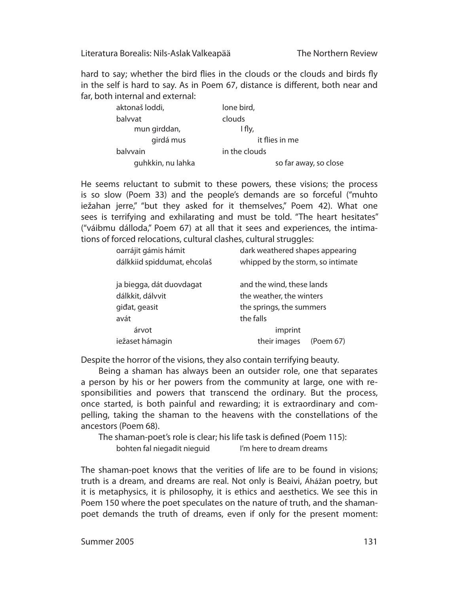Literatura Borealis: Nils-Aslak Valkeapää

The Northern Review

hard to say; whether the bird flies in the clouds or the clouds and birds fly in the self is hard to say. As in Poem 67, distance is different, both near and far, both internal and external:

| aktonaš loddi,    | lone bird,            |
|-------------------|-----------------------|
| balvvat           | clouds                |
| mun girddan,      | I fly,                |
| girdá mus         | it flies in me        |
| balvvain          | in the clouds         |
| guhkkin, nu lahka | so far away, so close |

He seems reluctant to submit to these powers, these visions; the process is so slow (Poem 33) and the people's demands are so forceful ("muhto iežahan jerre," "but they asked for it themselves," Poem 42). What one sees is terrifying and exhilarating and must be told. "The heart hesitates" ("váibmu dálloda," Poem 67) at all that it sees and experiences, the intimations of forced relocations, cultural clashes, cultural struggles:

| oarrájit gámis hámit<br>dálkkiid spiddumat, ehcolaš           | dark weathered shapes appearing<br>whipped by the storm, so intimate              |  |  |
|---------------------------------------------------------------|-----------------------------------------------------------------------------------|--|--|
| ja biegga, dát duovdagat<br>dálkkit, dálvvit<br>gidat, geasit | and the wind, these lands<br>the weather, the winters<br>the springs, the summers |  |  |
| avát                                                          | the falls                                                                         |  |  |
| árvot                                                         | imprint                                                                           |  |  |
| iežaset hámagin                                               | their images<br>(Poem 67)                                                         |  |  |
|                                                               |                                                                                   |  |  |

Despite the horror of the visions, they also contain terrifying beauty.

Being a shaman has always been an outsider role, one that separates a person by his or her powers from the community at large, one with responsibilities and powers that transcend the ordinary. But the process, once started, is both painful and rewarding; it is extraordinary and compelling, taking the shaman to the heavens with the constellations of the ancestors (Poem 68).

The shaman-poet's role is clear; his life task is defined (Poem 115): bohten fal niegadit nieguid I'm here to dream dreams

The shaman-poet knows that the verities of life are to be found in visions; truth is a dream, and dreams are real. Not only is Beaivi, Áhážan poetry, but it is metaphysics, it is philosophy, it is ethics and aesthetics. We see this in Poem 150 where the poet speculates on the nature of truth, and the shamanpoet demands the truth of dreams, even if only for the present moment: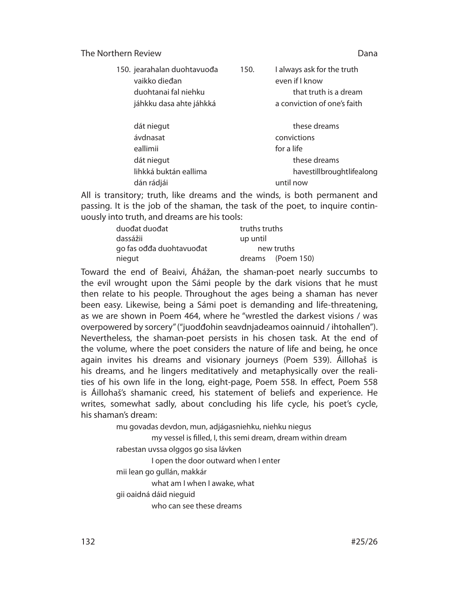| 150. jearahalan duohtavuođa<br>vaikko dieđan<br>duohtanai fal niehku<br>jáhkku dasa ahte jáhkká | 150. | I always ask for the truth<br>even if I know<br>that truth is a dream<br>a conviction of one's faith |
|-------------------------------------------------------------------------------------------------|------|------------------------------------------------------------------------------------------------------|
| dát niegut                                                                                      |      | these dreams                                                                                         |
| ávdnasat                                                                                        |      | convictions                                                                                          |
| eallimii                                                                                        |      | for a life                                                                                           |
| dát niegut                                                                                      |      | these dreams                                                                                         |
| lihkká buktán eallima                                                                           |      | havestillbroughtlifealong                                                                            |
| dán rádjái                                                                                      |      | until now                                                                                            |

All is transitory; truth, like dreams and the winds, is both permanent and passing. It is the job of the shaman, the task of the poet, to inquire continuously into truth, and dreams are his tools:

| duođat duođat            | truths truths |                   |  |
|--------------------------|---------------|-------------------|--|
| dassážii                 | up until      |                   |  |
| go fas ođđa duohtavuođat | new truths    |                   |  |
| niegut                   |               | dreams (Poem 150) |  |

Toward the end of Beaivi, Áhážan, the shaman-poet nearly succumbs to the evil wrought upon the Sámi people by the dark visions that he must then relate to his people. Throughout the ages being a shaman has never been easy. Likewise, being a Sámi poet is demanding and life-threatening, as we are shown in Poem 464, where he "wrestled the darkest visions / was over powered by sorcery" ("juodđohin seavdnjadeamos oainnuid / ihtohallen"). Nevertheless, the shaman-poet persists in his chosen task. At the end of the volume, where the poet considers the nature of life and being, he once again invites his dreams and visionary journeys (Poem 539). Áillohaš is his dreams, and he lingers meditatively and metaphysically over the realities of his own life in the long, eight-page, Poem 558. In effect, Poem 558 is Áillohaš's shamanic creed, his statement of beliefs and experience. He writes, somewhat sadly, about concluding his life cycle, his poet's cycle, his shaman's dream:

mu govadas devdon, mun, adjágasniehku, niehku niegus

my vessel is filled, I, this semi dream, dream within dream rabestan uvssa olggos go sisa lávken I open the door outward when I enter mii lean go gullán, makkár what am I when I awake, what

gii oaidná dáid nieguid

who can see these dreams

# Dana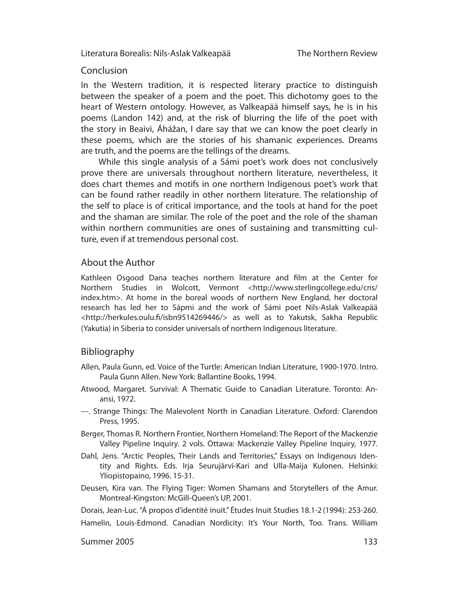### Literatura Borealis: Nils-Aslak Valkeapää

## Conclusion

In the Western tradition, it is respected literary practice to distinguish bet ween the speaker of a poem and the poet. This dichotomy goes to the heart of Western ontology. However, as Valkeapää himself says, he is in his poems (Landon 142) and, at the risk of blurring the life of the poet with the story in Beaivi, Áhážan, I dare say that we can know the poet clearly in these poems, which are the stories of his shamanic experiences. Dreams are truth, and the poems are the tellings of the dreams.

While this single analysis of a Sámi poet's work does not conclusively prove there are universals throughout northern literature, nevertheless, it does chart themes and motifs in one northern Indigenous poet's work that can be found rather readily in other northern literature. The relationship of the self to place is of critical importance, and the tools at hand for the poet and the shaman are similar. The role of the poet and the role of the shaman within northern communities are ones of sustaining and transmitting culture, even if at tremendous personal cost.

### About the Author

Kathleen Osgood Dana teaches northern literature and film at the Center for Northern Studies in Wolcott, Vermont <http://www.sterlingcollege.edu/cns/ index.htm>. At home in the boreal woods of northern New England, her doctoral research has led her to Sápmi and the work of Sámi poet Nils-Aslak Valkeapää <http://herkules.oulu.fi/isbn9514269446/> as well as to Yakutsk, Sakha Republic (Yakutia) in Siberia to consider universals of northern Indigenous literature.

### Bibliography

- Allen, Paula Gunn, ed. Voice of the Turtle: American Indian Literature, 1900-1970. Intro. Paula Gunn Allen. New York: Ballantine Books, 1994.
- Atwood, Margaret. Survival: A Thematic Guide to Canadian Literature. Toronto: Anansi, 1972.
- ---. Strange Things: The Malevolent North in Canadian Literature. Oxford: Clarendon Press, 1995.
- Berger, Thomas R. Northern Frontier, Northern Homeland: The Report of the Mackenzie Valley Pipeline Inquiry. 2 vols. Ottawa: Mackenzie Valley Pipeline Inquiry, 1977.
- Dahl, Jens. "Arctic Peoples, Their Lands and Territories," Essays on Indigenous Identity and Rights. Eds. Irja Seurujärvi-Kari and Ulla-Maija Kulonen. Helsinki: Yliopistopaino, 1996. 15-31.
- Deusen, Kira van. The Flying Tiger: Women Shamans and Storytellers of the Amur. Montreal-Kingston: McGill-Queen's UP, 2001.

Dorais, Jean-Luc. "Á propos d'identité inuit." Études Inuit Studies 18.1-2 (1994): 253-260. Hamelin, Louis-Edmond. Canadian Nordicity: It's Your North, Too. Trans. William

Summer 2005